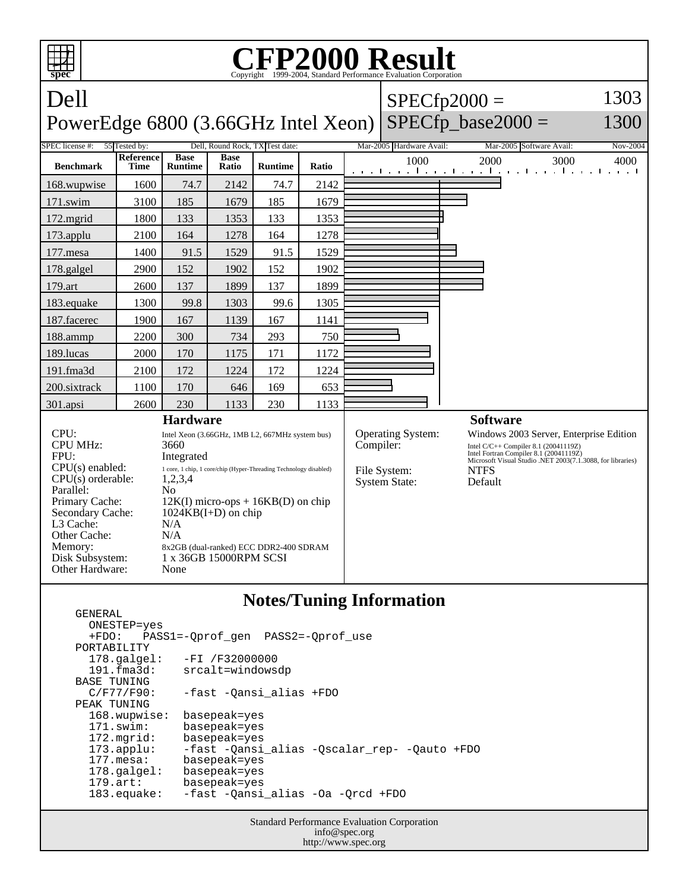

## **Notes/Tuning Information**

| ONESTEP=yes           |                                              |
|-----------------------|----------------------------------------------|
|                       | +FDO: PASS1=-Oprof gen PASS2=-Oprof use      |
| PORTABILITY           |                                              |
| $178.\text{qalgel}$ : | $-FI / F32000000$                            |
| 191.fma3d:            | srcalt=windowsdp                             |
| BASE TUNING           |                                              |
| $C/F77/F90$ :         | -fast -Oansi alias +FDO                      |
| PEAK TUNING           |                                              |
| 168.wupwise:          | basepeak=yes                                 |
| $171$ .swim:          | basepeak=yes                                 |
| 172.mgrid:            | basepeak=yes                                 |
| $173.\text{applu}:$   | -fast -Oansi alias -Oscalar rep- -Oauto +FDO |
| $177$ . mesa:         | basepeak=yes                                 |
| $178.\text{q}$        | basepeak=yes                                 |
| $179.\arct:$          | basepeak=yes                                 |
| $183$ .equake:        | -fast -Oansi alias -Oa -Orcd +FDO            |
|                       |                                              |

GENERAL

Standard Performance Evaluation Corporation info@spec.org http://www.spec.org